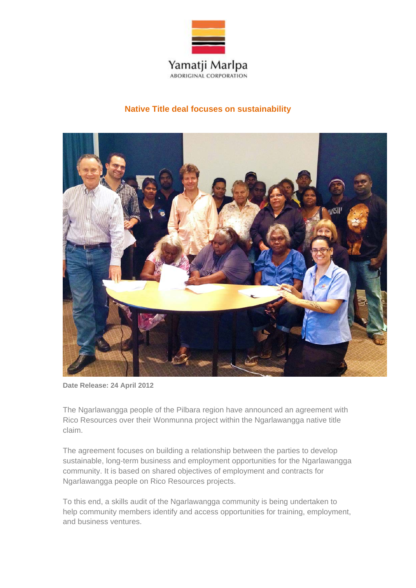

## **Native Title deal focuses on sustainability**



**Date Release: 24 April 2012** 

The Ngarlawangga people of the Pilbara region have announced an agreement with Rico Resources over their Wonmunna project within the Ngarlawangga native title claim.

The agreement focuses on building a relationship between the parties to develop sustainable, long-term business and employment opportunities for the Ngarlawangga community. It is based on shared objectives of employment and contracts for Ngarlawangga people on Rico Resources projects.

To this end, a skills audit of the Ngarlawangga community is being undertaken to help community members identify and access opportunities for training, employment, and business ventures.